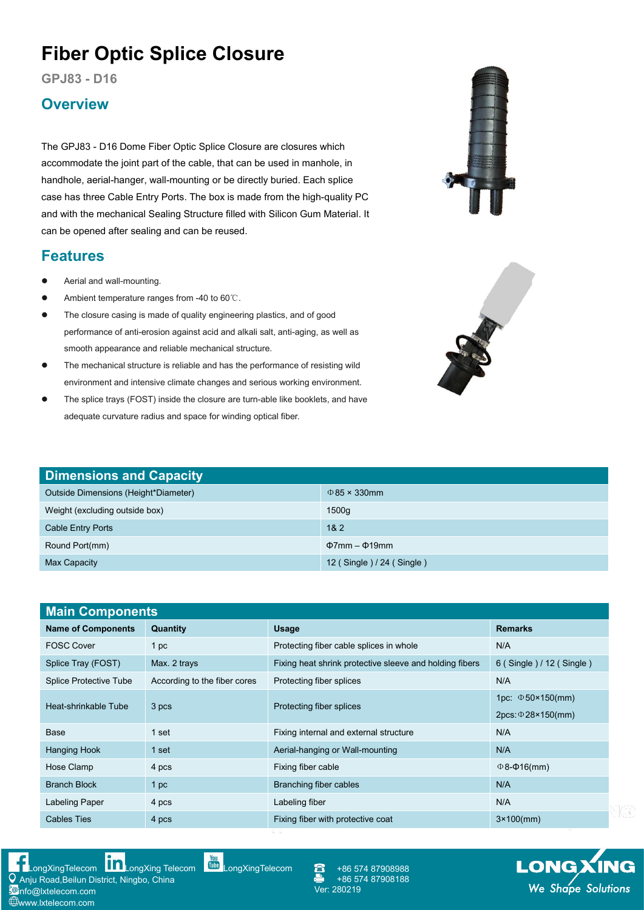## **Fiber Optic Splice Closure**

**GPJ83 - D16**

## **Overview**

The GPJ83 - D16 Dome Fiber Optic Splice Closure are closures which accommodate the joint part of the cable, that can be used in manhole, in handhole, aerial-hanger, wall-mounting or be directly buried. Each splice case has three Cable Entry Ports. The box is made from the high-quality PC and with the mechanical Sealing Structure filled with Silicon Gum Material. It can be opened after sealing and can be reused.

## **Features**

- Aerial and wall-mounting.
- Ambient temperature ranges from -40 to 60℃.
- The closure casing is made of quality engineering plastics, and of good performance of anti-erosion against acid and alkali salt, anti-aging, as well as smooth appearance and reliable mechanical structure.
- The mechanical structure is reliable and has the performance of resisting wild environment and intensive climate changes and serious working environment.
- The splice trays (FOST) inside the closure are turn-able like booklets, and have adequate curvature radius and space for winding optical fiber.

[LongXingTelecom](https://www.youtube.com/user/LongXingTelecom) **[LongXing](https://www.linkedin.com/company/longxing-telecom) Telecom** LongXingTelecom

Anju Road,Beilun District, Ningbo, China

**i**@info@lxtelecom.com **Www.lxtelecom.com** 



| <b>Main Components</b>        |                              |                                                         |                                 |
|-------------------------------|------------------------------|---------------------------------------------------------|---------------------------------|
| <b>Name of Components</b>     | Quantity                     | <b>Usage</b>                                            | <b>Remarks</b>                  |
| <b>FOSC Cover</b>             | 1 <sub>pc</sub>              | Protecting fiber cable splices in whole                 | N/A                             |
| Splice Tray (FOST)            | Max. 2 trays                 | Fixing heat shrink protective sleeve and holding fibers | 6 (Single ) / 12 (Single )      |
| <b>Splice Protective Tube</b> | According to the fiber cores | Protecting fiber splices                                | N/A                             |
| Heat-shrinkable Tube          | 3 pcs                        | Protecting fiber splices                                | 1pc: $\Phi$ 50×150(mm)          |
|                               |                              |                                                         | $2pcs: \Phi 28 \times 150$ (mm) |
| Base                          | 1 set                        | Fixing internal and external structure                  | N/A                             |
| <b>Hanging Hook</b>           | 1 set                        | Aerial-hanging or Wall-mounting                         | N/A                             |
| Hose Clamp                    | 4 pcs                        | Fixing fiber cable                                      | $\Phi$ 8- $\Phi$ 16(mm)         |
| <b>Branch Block</b>           | 1 <sub>pc</sub>              | Branching fiber cables                                  | N/A                             |
| Labeling Paper                | 4 pcs                        | Labeling fiber                                          | N/A                             |
| <b>Cables Ties</b>            | 4 pcs                        | Fixing fiber with protective coat                       | $3 \times 100$ (mm)             |

+86 574 87908988 +86 574 87908188<br>Ver: 280219





**LONGXING**<br>We Shape Solutions